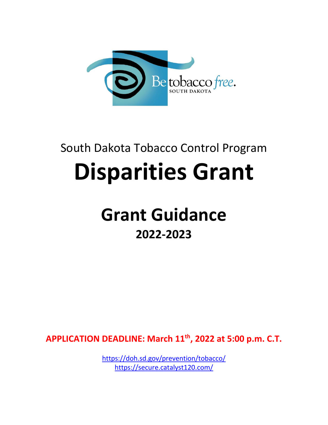

# South Dakota Tobacco Control Program

# **Disparities Grant**

# **Grant Guidance 2022-2023**

**APPLICATION DEADLINE: March 11th, 2022 at 5:00 p.m. C.T.**

<https://doh.sd.gov/prevention/tobacco/> <https://secure.catalyst120.com/>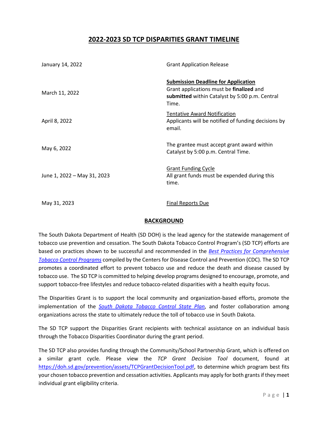# **2022-2023 SD TCP DISPARITIES GRANT TIMELINE**

| January 14, 2022            | <b>Grant Application Release</b><br><b>Submission Deadline for Application</b><br>Grant applications must be finalized and<br>submitted within Catalyst by 5:00 p.m. Central<br>Time. |  |
|-----------------------------|---------------------------------------------------------------------------------------------------------------------------------------------------------------------------------------|--|
| March 11, 2022              |                                                                                                                                                                                       |  |
| April 8, 2022               | <b>Tentative Award Notification</b><br>Applicants will be notified of funding decisions by<br>email.                                                                                  |  |
| May 6, 2022                 | The grantee must accept grant award within<br>Catalyst by 5:00 p.m. Central Time.                                                                                                     |  |
| June 1, 2022 - May 31, 2023 | <b>Grant Funding Cycle</b><br>All grant funds must be expended during this<br>time.                                                                                                   |  |
| May 31, 2023                | <b>Final Reports Due</b>                                                                                                                                                              |  |

### **BACKGROUND**

The South Dakota Department of Health (SD DOH) is the lead agency for the statewide management of tobacco use prevention and cessation. The South Dakota Tobacco Control Program's (SD TCP) efforts are based on practices shown to be successful and recommended in the *[Best Practices for Comprehensive](https://www.cdc.gov/tobacco/stateandcommunity/best_practices/pdfs/2014/comprehensive.pdf)  [Tobacco Control Programs](https://www.cdc.gov/tobacco/stateandcommunity/best_practices/pdfs/2014/comprehensive.pdf)* compiled by the Centers for Disease Control and Prevention (CDC). The SD TCP promotes a coordinated effort to prevent tobacco use and reduce the death and disease caused by tobacco use. The SD TCP is committed to helping develop programs designed to encourage, promote, and support tobacco-free lifestyles and reduce tobacco-related disparities with a health equity focus.

The Disparities Grant is to support the local community and organization-based efforts, promote the implementation of the *[South Dakota Tobacco Control State Plan](http://doh.sd.gov/prevention/assets/TobaccoControlStatePlan.pdf)*, and foster collaboration among organizations across the state to ultimately reduce the toll of tobacco use in South Dakota.

The SD TCP support the Disparities Grant recipients with technical assistance on an individual basis through the Tobacco Disparities Coordinator during the grant period.

The SD TCP also provides funding through the Community/School Partnership Grant, which is offered on a similar grant cycle. Please view the *TCP Grant Decision Tool* document, found at [https://doh.sd.gov/prevention/assets/TCPGrantDecisionTool.pdf,](https://doh.sd.gov/prevention/assets/TCPGrantDecisionTool.pdf) to determine which program best fits your chosen tobacco prevention and cessation activities. Applicants may apply for both grants if they meet individual grant eligibility criteria.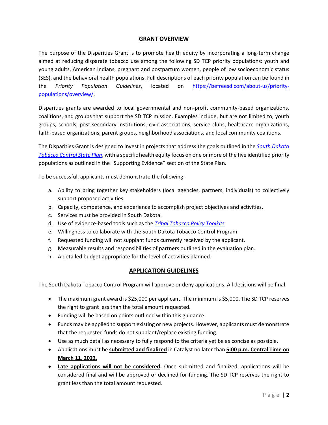#### **GRANT OVERVIEW**

The purpose of the Disparities Grant is to promote health equity by incorporating a long-term change aimed at reducing disparate tobacco use among the following SD TCP priority populations: youth and young adults, American Indians, pregnant and postpartum women, people of low socioeconomic status (SES), and the behavioral health populations. Full descriptions of each priority population can be found in the *Priority Population Guidelines*, located on [https://befreesd.com/about-us/priority](https://befreesd.com/about-us/priority-populations/overview/)[populations/overview/.](https://befreesd.com/about-us/priority-populations/overview/)

Disparities grants are awarded to local governmental and non-profit community-based organizations, coalitions, and groups that support the SD TCP mission. Examples include, but are not limited to, youth groups, schools, post-secondary institutions, civic associations, service clubs, healthcare organizations, faith-based organizations, parent groups, neighborhood associations, and local community coalitions.

The Disparities Grant is designed to invest in projects that address the goals outlined in the *[South Dakota](http://doh.sd.gov/prevention/assets/TobaccoControlStatePlan.pdf)  [Tobacco Control State Plan](http://doh.sd.gov/prevention/assets/TobaccoControlStatePlan.pdf)*, with a specific health equity focus on one or more of the five identified priority populations as outlined in the "Supporting Evidence" section of the State Plan.

To be successful, applicants must demonstrate the following:

- a. Ability to bring together key stakeholders (local agencies, partners, individuals) to collectively support proposed activities.
- b. Capacity, competence, and experience to accomplish project objectives and activities.
- c. Services must be provided in South Dakota.
- d. Use of evidence-based tools such as the *[Tribal Tobacco Policy Toolkits.](https://www.findyourpowersd.com/toolkit/)*
- e. Willingness to collaborate with the South Dakota Tobacco Control Program.
- f. Requested funding will not supplant funds currently received by the applicant.
- g. Measurable results and responsibilities of partners outlined in the evaluation plan.
- h. A detailed budget appropriate for the level of activities planned.

#### **APPLICATION GUIDELINES**

The South Dakota Tobacco Control Program will approve or deny applications. All decisions will be final.

- The maximum grant award is \$25,000 per applicant. The minimum is \$5,000. The SD TCP reserves the right to grant less than the total amount requested.
- Funding will be based on points outlined within this guidance.
- Funds may be applied to support existing or new projects. However, applicants must demonstrate that the requested funds do not supplant/replace existing funding.
- Use as much detail as necessary to fully respond to the criteria yet be as concise as possible.
- Applications must be **submitted and finalized** in Catalyst no later than **5:00 p.m. Central Time on March 11, 2022.**
- **Late applications will not be considered.** Once submitted and finalized, applications will be considered final and will be approved or declined for funding. The SD TCP reserves the right to grant less than the total amount requested.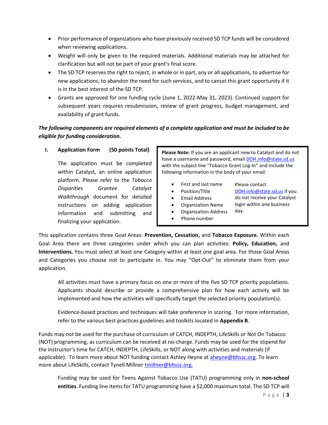- Prior performance of organizations who have previously received SD TCP funds will be considered when reviewing applications.
- Weight will only be given to the required materials. Additional materials may be attached for clarification but will not be part of your grant's final score.
- The SD TCP reserves the right to reject, in whole or in part, any or all applications, to advertise for new applications, to abandon the need for such services, and to cancel this grant opportunity if it is in the best interest of the SD TCP.
- Grants are approved for one funding cycle (June 1, 2022-May 31, 2023). Continued support for subsequent years requires resubmission, review of grant progress, budget management, and availability of grant funds.

# *The following components are required elements of a complete application and must be included to be eligible for funding consideration.*

### **I. Application Form (50 points Total)**

The application must be completed within Catalyst, an online application platform. Please refer to the *Tobacco Disparities Grantee Catalyst Walkthrough* document for detailed instructions on adding application information and submitting and finalizing your application.

**Please Note:** If you are an applicant new to Catalyst and do not have a username and password, email **DOH.info@state.sd.us** with the subject line "Tobacco Grant Log-In" and include the following information in the body of your email:

- First and last name
	- Position/Title
- Email Address
- [DOH.info@state.sd.us](mailto:DOH.info@state.sd.us) if you do not receive your Catalyst login within one business

Please contact

day.

- Organization Name • Organization Address
- Phone number

This application contains three Goal Areas: **Prevention, Cessation,** and **Tobacco Exposure.** Within each Goal Area there are three categories under which you can plan activities: **Policy, Education,** and **Interventions.** You must select at least one Category within at least one goal area. For those Goal Areas and Categories you choose not to participate in. You may "Opt-Out" to eliminate them from your application.

All activities must have a primary focus on one or more of the five SD TCP priority populations. Applicants should describe or provide a comprehensive plan for how each activity will be implemented and how the activities will specifically target the selected priority population(s).

Evidence-based practices and techniques will take preference in scoring. For more information, refer to the various best practices guidelines and toolkits located in **Appendix B**.

Funds may not be used for the purchase of curriculum of CATCH, INDEPTH, LifeSkills or Not On Tobacco (NOT) programming, as curriculum can be received at no-charge. Funds may be used for the stipend for the instructor's time for CATCH, INDEPTH, LifeSkills, or NOT along with activities and materials (if applicable). To learn more about NOT funding contact Ashley Heyne at [aheyne@bhssc.org.](mailto:aheyne@bhssc.org) To learn more about LifeSkills, contact Tynell Millner [tmillner@bhssc.org.](mailto:tmillner@bhssc.org)

Funding may be used for Teens Against Tobacco Use (TATU) programming only in **non-school entities**. Funding line items for TATU programming have a \$2,000 maximum total. The SD TCP will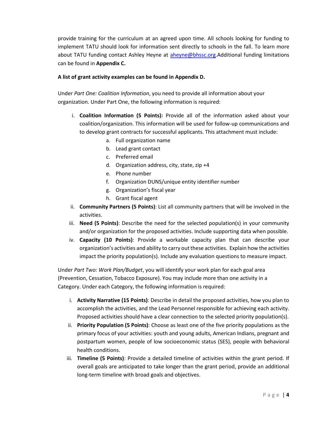provide training for the curriculum at an agreed upon time. All schools looking for funding to implement TATU should look for information sent directly to schools in the fall. To learn more about TATU funding contact Ashley Heyne at [aheyne@bhssc.org.](mailto:aheyne@bhssc.org)Additional funding limitations can be found in **Appendix C.** 

#### **A list of grant activity examples can be found in Appendix D.**

Under *Part One: Coalition Information*, you need to provide all information about your organization. Under Part One, the following information is required:

- i. **Coalition Information (5 Points):** Provide all of the information asked about your coalition/organization. This information will be used for follow-up communications and to develop grant contracts for successful applicants. This attachment must include:
	- a. Full organization name
	- b. Lead grant contact
	- c. Preferred email
	- d. Organization address, city, state, zip +4
	- e. Phone number
	- f. Organization DUNS/unique entity identifier number
	- g. Organization's fiscal year
	- h. Grant fiscal agent
- ii. **Community Partners (5 Points)**: List all community partners that will be involved in the activities.
- iii. **Need (5 Points)**: Describe the need for the selected population(s) in your community and/or organization for the proposed activities. Include supporting data when possible.
- iv. **Capacity (10 Points)**: Provide a workable capacity plan that can describe your organization's activities and ability to carry out these activities. Explain how the activities impact the priority population(s). Include any evaluation questions to measure impact.

Under *Part Two: Work Plan/Budget*, you will identify your work plan for each goal area (Prevention, Cessation, Tobacco Exposure). You may include more than one activity in a Category. Under each Category, the following information is required:

- i. **Activity Narrative (15 Points)**: Describe in detail the proposed activities, how you plan to accomplish the activities, and the Lead Personnel responsible for achieving each activity. Proposed activities should have a clear connection to the selected priority population(s).
- ii. **Priority Population (5 Points)**: Choose as least one of the five priority populations as the primary focus of your activities: youth and young adults, American Indians, pregnant and postpartum women, people of low socioeconomic status (SES), people with behavioral health conditions.
- iii. **Timeline (5 Points)**: Provide a detailed timeline of activities within the grant period. If overall goals are anticipated to take longer than the grant period, provide an additional long-term timeline with broad goals and objectives.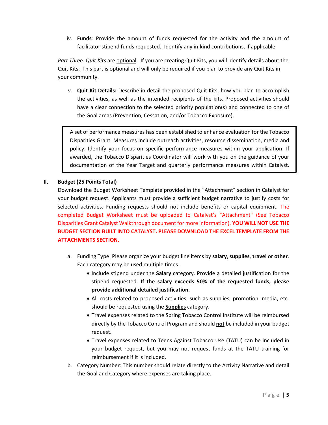iv. **Funds**: Provide the amount of funds requested for the activity and the amount of facilitator stipend funds requested. Identify any in-kind contributions, if applicable.

*Part Three: Quit Kits* are optional. If you are creating Quit Kits, you will identify details about the Quit Kits. This part is optional and will only be required if you plan to provide any Quit Kits in your community.

v. **Quit Kit Details:** Describe in detail the proposed Quit Kits, how you plan to accomplish the activities, as well as the intended recipients of the kits. Proposed activities should have a clear connection to the selected priority population(s) and connected to one of the Goal areas (Prevention, Cessation, and/or Tobacco Exposure).

A set of performance measures has been established to enhance evaluation for the Tobacco Disparities Grant. Measures include outreach activities, resource dissemination, media and policy. Identify your focus on specific performance measures within your application. If awarded, the Tobacco Disparities Coordinator will work with you on the guidance of your documentation of the Year Target and quarterly performance measures within Catalyst.

#### **II. Budget (25 Points Total)**

Download the Budget Worksheet Template provided in the "Attachment" section in Catalyst for your budget request. Applicants must provide a sufficient budget narrative to justify costs for selected activities. Funding requests should not include benefits or capital equipment. The completed Budget Worksheet must be uploaded to Catalyst's "Attachment" (See Tobacco Disparities Grant Catalyst Walkthrough document for more information). **YOU WILL NOT USE THE BUDGET SECTION BUILT INTO CATALYST. PLEASE DOWNLOAD THE EXCEL TEMPLATE FROM THE ATTACHMENTS SECTION.** 

- a. Funding Type: Please organize your budget line items by **salary**, **supplies**, **travel** or **other**. Each category may be used multiple times.
	- Include stipend under the **Salary** category. Provide a detailed justification for the stipend requested. **If the salary exceeds 50% of the requested funds, please provide additional detailed justification.**
	- All costs related to proposed activities, such as supplies, promotion, media, etc. should be requested using the **Supplies** category.
	- Travel expenses related to the Spring Tobacco Control Institute will be reimbursed directly by the Tobacco Control Program and should **not** be included in your budget request.
	- Travel expenses related to Teens Against Tobacco Use (TATU) can be included in your budget request, but you may not request funds at the TATU training for reimbursement if it is included.
- b. Category Number: This number should relate directly to the Activity Narrative and detail the Goal and Category where expenses are taking place.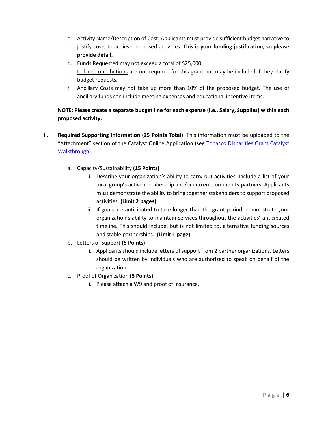- c. Activity Name/Description of Cost: Applicants must provide sufficient budget narrative to justify costs to achieve proposed activities. **This is your funding justification, so please provide detail.**
- d. Funds Requested may not exceed a total of \$25,000.
- e. In-kind contributions are not required for this grant but may be included if they clarify budget requests.
- f. Ancillary Costs may not take up more than 10% of the proposed budget. The use of ancillary funds can include meeting expenses and educational incentive items.

# **NOTE: Please create a separate budget line for each expense (i.e., Salary, Supplies) within each proposed activity.**

- III. **Required Supporting Information (25 Points Total)**: This information must be uploaded to the "Attachment" section of the Catalyst Online Application (see [Tobacco Disparities Grant Catalyst](https://doh.sd.gov/prevention/assets/TobaccoDisparitiesGrantCatalyst120Walkthrough.pdf)  [Walkthrough\)](https://doh.sd.gov/prevention/assets/TobaccoDisparitiesGrantCatalyst120Walkthrough.pdf).
	- a. Capacity/Sustainability **(15 Points)**
		- i. Describe your organization's ability to carry out activities. Include a list of your local group's active membership and/or current community partners. Applicants must demonstrate the ability to bring together stakeholders to support proposed activities. **(Limit 2 pages)**
		- ii. If goals are anticipated to take longer than the grant period, demonstrate your organization's ability to maintain services throughout the activities' anticipated timeline. This should include, but is not limited to, alternative funding sources and stable partnerships. **(Limit 1 page)**
	- b. Letters of Support **(5 Points)**
		- i. Applicants should include letters of support from 2 partner organizations. Letters should be written by individuals who are authorized to speak on behalf of the organization.
	- c. Proof of Organization **(5 Points)**
		- i. Please attach a W9 and proof of insurance.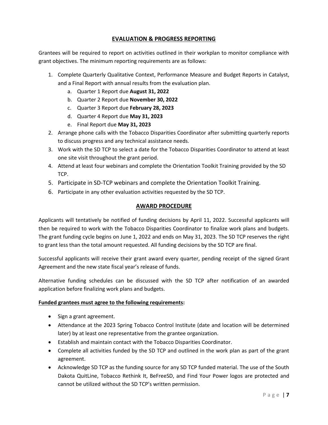### **EVALUATION & PROGRESS REPORTING**

Grantees will be required to report on activities outlined in their workplan to monitor compliance with grant objectives. The minimum reporting requirements are as follows:

- 1. Complete Quarterly Qualitative Context, Performance Measure and Budget Reports in Catalyst, and a Final Report with annual results from the evaluation plan.
	- a. Quarter 1 Report due **August 31, 2022**
	- b. Quarter 2 Report due **November 30, 2022**
	- c. Quarter 3 Report due **February 28, 2023**
	- d. Quarter 4 Report due **May 31, 2023**
	- e. Final Report due **May 31, 2023**
- 2. Arrange phone calls with the Tobacco Disparities Coordinator after submitting quarterly reports to discuss progress and any technical assistance needs.
- 3. Work with the SD TCP to select a date for the Tobacco Disparities Coordinator to attend at least one site visit throughout the grant period.
- 4. Attend at least four webinars and complete the Orientation Toolkit Training provided by the SD TCP.
- 5. Participate in SD-TCP webinars and complete the Orientation Toolkit Training.
- 6. Participate in any other evaluation activities requested by the SD TCP.

#### **AWARD PROCEDURE**

Applicants will tentatively be notified of funding decisions by April 11, 2022. Successful applicants will then be required to work with the Tobacco Disparities Coordinator to finalize work plans and budgets. The grant funding cycle begins on June 1, 2022 and ends on May 31, 2023. The SD TCP reserves the right to grant less than the total amount requested. All funding decisions by the SD TCP are final.

Successful applicants will receive their grant award every quarter, pending receipt of the signed Grant Agreement and the new state fiscal year's release of funds.

Alternative funding schedules can be discussed with the SD TCP after notification of an awarded application before finalizing work plans and budgets.

#### **Funded grantees must agree to the following requirements:**

- Sign a grant agreement.
- Attendance at the 2023 Spring Tobacco Control Institute (date and location will be determined later) by at least one representative from the grantee organization.
- Establish and maintain contact with the Tobacco Disparities Coordinator.
- Complete all activities funded by the SD TCP and outlined in the work plan as part of the grant agreement.
- Acknowledge SD TCP as the funding source for any SD TCP funded material. The use of the South Dakota QuitLine, Tobacco Rethink It, BeFreeSD, and Find Your Power logos are protected and cannot be utilized without the SD TCP's written permission.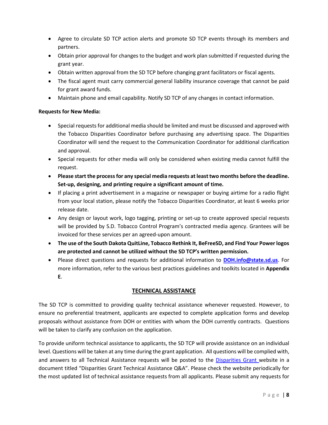- Agree to circulate SD TCP action alerts and promote SD TCP events through its members and partners.
- Obtain prior approval for changes to the budget and work plan submitted if requested during the grant year.
- Obtain written approval from the SD TCP before changing grant facilitators or fiscal agents.
- The fiscal agent must carry commercial general liability insurance coverage that cannot be paid for grant award funds.
- Maintain phone and email capability. Notify SD TCP of any changes in contact information.

#### **Requests for New Media:**

- Special requests for additional media should be limited and must be discussed and approved with the Tobacco Disparities Coordinator before purchasing any advertising space. The Disparities Coordinator will send the request to the Communication Coordinator for additional clarification and approval.
- Special requests for other media will only be considered when existing media cannot fulfill the request.
- **Please start the process for any special media requests at least two months before the deadline. Set-up, designing, and printing require a significant amount of time.**
- If placing a print advertisement in a magazine or newspaper or buying airtime for a radio flight from your local station, please notify the Tobacco Disparities Coordinator, at least 6 weeks prior release date.
- Any design or layout work, logo tagging, printing or set-up to create approved special requests will be provided by S.D. Tobacco Control Program's contracted media agency. Grantees will be invoiced for these services per an agreed-upon amount.
- **The use of the South Dakota QuitLine, Tobacco Rethink It, BeFreeSD, and Find Your Power logos are protected and cannot be utilized without the SD TCP's written permission.**
- Please direct questions and requests for additional information to **[DOH.info@state.sd.us](mailto:DOH.info@state.sd.us)**. For more information, refer to the various best practices guidelines and toolkits located in **Appendix E**.

### **TECHNICAL ASSISTANCE**

The SD TCP is committed to providing quality technical assistance whenever requested. However, to ensure no preferential treatment, applicants are expected to complete application forms and develop proposals without assistance from DOH or entities with whom the DOH currently contracts. Questions will be taken to clarify any confusion on the application.

To provide uniform technical assistance to applicants, the SD TCP will provide assistance on an individual level. Questions will be taken at any time during the grant application. All questions will be complied with, and answers to all Technical Assistance requests will be posted to the [Disparities Grant](https://doh.sd.gov/prevention/tobacco/) website in a document titled "Disparities Grant Technical Assistance Q&A". Please check the website periodically for the most updated list of technical assistance requests from all applicants. Please submit any requests for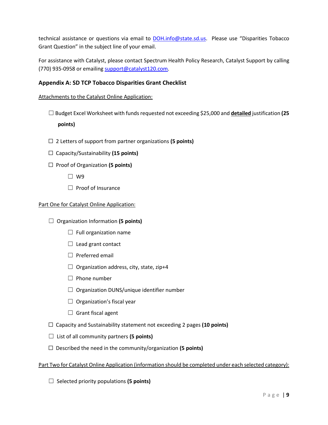technical assistance or questions via email to [DOH.info@state.sd.us](mailto:DOH.info@state.sd.us). Please use "Disparities Tobacco Grant Question" in the subject line of your email.

For assistance with Catalyst, please contact Spectrum Health Policy Research, Catalyst Support by calling (770) 935-0958 or emailin[g support@catalyst120.com.](mailto:support@catalyst120.com)

## **Appendix A: SD TCP Tobacco Disparities Grant Checklist**

Attachments to the Catalyst Online Application:

- ☐ Budget Excel Worksheet with funds requested not exceeding \$25,000 and **detailed** justification **(25 points)**
- ☐ 2 Letters of support from partner organizations **(5 points)**
- ☐ Capacity/Sustainability **(15 points)**
- ☐ Proof of Organization **(5 points)**
	- ☐ W9
	- ☐ Proof of Insurance

#### Part One for Catalyst Online Application:

- ☐ Organization Information **(5 points)**
	- $\Box$  Full organization name
	- $\Box$  Lead grant contact
	- $\Box$  Preferred email
	- $\Box$  Organization address, city, state, zip+4
	- $\Box$  Phone number
	- $\Box$  Organization DUNS/unique identifier number
	- $\Box$  Organization's fiscal year
	- $\Box$  Grant fiscal agent
- ☐ Capacity and Sustainability statement not exceeding 2 pages **(10 points)**
- ☐ List of all community partners **(5 points)**
- ☐ Described the need in the community/organization **(5 points)**

#### Part Two for Catalyst Online Application (information should be completed under each selected category):

☐ Selected priority populations **(5 points)**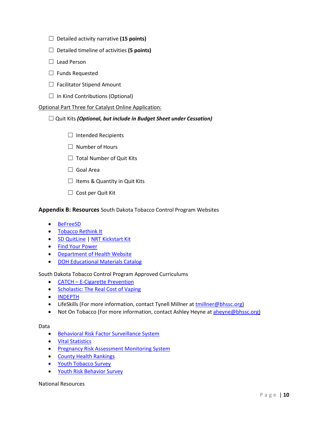- ☐ Detailed activity narrative **(15 points)**
- ☐ Detailed timeline of activities **(5 points)**
- ☐ Lead Person
- $\Box$  Funds Requested
- $\Box$  Facilitator Stipend Amount
- $\Box$  In Kind Contributions (Optional)

#### Optional Part Three for Catalyst Online Application:

#### ☐ Quit Kits *(Optional, but include in Budget Sheet under Cessation)*

- ☐ Intended Recipients
- ☐ Number of Hours
- $\Box$  Total Number of Quit Kits
- □ Goal Area
- $\Box$  Items & Quantity in Quit Kits
- $\Box$  Cost per Quit Kit

#### **Appendix B: Resources** South Dakota Tobacco Control Program Websites

- [BeFreeSD](http://befreesd.com/)
- [Tobacco Rethink It](http://rethinktobacco.com/)
- [SD QuitLine](http://sdquitline.com/) | [NRT Kickstart Kit](https://www.sdquitline.com/home/kickstart/)
- [Find Your Power](http://findyourpowersd.com/)
- [Department of Health Website](https://doh.sd.gov/prevention/tobacco/)
- [DOH Educational Materials Catalog](https://apps.sd.gov/ph18publications/secure/puborder.aspx)

South Dakota Tobacco Control Program Approved Curriculums

- CATCH [E-Cigarette Prevention](https://catchinfo.org/modules/e-cigarettes/)
- [Scholastic: The Real Cost of Vaping](http://www.scholastic.com/youthvapingrisks/)
- [INDEPTH](https://www.lung.org/quit-smoking/helping-teens-quit/indepth)
- LifeSkills (For more information, contact Tynell Millner at [tmillner@bhssc.org\)](mailto:tmillner@bhssc.org)
- Not On Tobacco (For more information, contact Ashley Heyne at [aheyne@bhssc.org\)](mailto:aheyne@bhssc.org)

Data

- [Behavioral Risk Factor Surveillance System](http://doh.sd.gov/statistics/2016BRFSS/default.aspx)
- [Vital Statistics](http://doh.sd.gov/statistics/2016Vital/default.aspx)
- [Pregnancy Risk Assessment Monitoring System](http://doh.sd.gov/statistics/prams.aspx?)
- [County Health Rankings](http://www.countyhealthrankings.org/app/south-dakota/2018/overview)
- [Youth Tobacco Survey](http://doh.sd.gov/prevention/assets/2017YTSReport.pdf)
- [Youth Risk Behavior Survey](http://doh.sd.gov/statistics/YRBS.aspx)

National Resources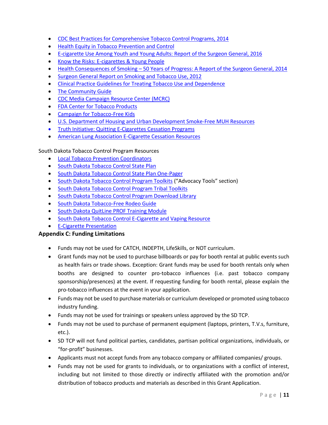- [CDC Best Practices for Comprehensive Tobacco Control Programs, 2014](http://www.cdc.gov/tobacco/stateandcommunity/best_practices/index.htm)
- [Health Equity in Tobacco Prevention and Control](http://www.cdc.gov/tobacco/stateandcommunity/best-practices-health-equity/pdfs/bp-health-equity.pdf)
- E-cigarette Use Among [Youth and Young Adults: Report of the Surgeon General, 2016](https://www.surgeongeneral.gov/library/2016ecigarettes/index.html)
- [Know the Risks: E-cigarettes & Young People](https://e-cigarettes.surgeongeneral.gov/)
- Health Consequences of Smoking [50 Years of Progress: A Report of the Surgeon General, 2014](https://www.cdc.gov/tobacco/data_statistics/sgr/50th-anniversary/index.htm)
- [Surgeon General Report on Smoking and Tobacco Use, 2012](http://www.surgeongeneral.gov/library/reports/preventing-youth-tobacco-use/index.html)
- [Clinical Practice Guidelines for Treating Tobacco Use and Dependence](https://www.ahrq.gov/professionals/clinicians-providers/guidelines-recommendations/tobacco/clinicians/index.html)
- [The Community Guide](https://www.thecommunityguide.org/)
- [CDC Media Campaign Resource Center \(MCRC\)](http://www.cdc.gov/tobacco/mcrc)
- [FDA Center for Tobacco Products](http://www.fda.gov/tobaccoproducts/default.htm)
- [Campaign for Tobacco-Free Kids](http://www.tobaccofreekids.org/facts_issues/toll_us/south_dakota)
- [U.S. Department of Housing and Urban Development Smoke-Free MUH Resources](https://www.hud.gov/program_offices/healthy_homes/smokefree)
- [Truth Initiative: Quitting E-Cigarettes Cessation Programs](https://truthinitiative.org/research-resources/quitting-smoking-vaping/quitting-e-cigarettes)
- [American Lung Association E-Cigarette Cessation Resources](https://www.lung.org/stop-smoking/helping-teens-quit/)

South Dakota Tobacco Control Program Resources

- [Local Tobacco Prevention Coordinators](https://doh.sd.gov/prevention/tobacco/Local-Coordinators.aspx)
- [South Dakota Tobacco Control State Plan](http://doh.sd.gov/prevention/assets/TobaccoControlStatePlan.pdf)
- [South Dakota Tobacco Control State Plan One-Pager](http://doh.sd.gov/prevention/assets/TobaccoStatePlanOnePager.pdf)
- [South Dakota Tobacco Control Program Toolkits](https://befreesd.com/advocacy-tools/) ("Advocacy Tools" section)
- [South Dakota Tobacco Control Program Tribal Toolkits](https://www.findyourpowersd.com/toolkit/)
- South Dakota Tobacco [Control Program Download Library](https://befreesd.com/media-library/)
- [South Dakota Tobacco-Free Rodeo Guide](http://doh.sd.gov/prevention/assets/SDTCPRodeoGuidelines.pdf)
- [South Dakota QuitLine PROF Training Module](http://www.dohprofsd.org/)
- [South Dakota Tobacco Control E-Cigarette and Vaping Resource](https://doh.sd.gov/documents/Prevention/tobacco/E-CigaretteVapingHandout.pdf)
- [E-Cigarette Presentation](https://doh.sd.gov/documents/Prevention/tobacco/E-CigarettePresentationSlides.pdf)

#### **Appendix C: Funding Limitations**

- Funds may not be used for CATCH, INDEPTH, LifeSkills, or NOT curriculum.
- Grant funds may not be used to purchase billboards or pay for booth rental at public events such as health fairs or trade shows. Exception: Grant funds may be used for booth rentals only when booths are designed to counter pro-tobacco influences (i.e. past tobacco company sponsorship/presences) at the event. If requesting funding for booth rental, please explain the pro-tobacco influences at the event in your application.
- Funds may not be used to purchase materials or curriculum developed or promoted using tobacco industry funding.
- Funds may not be used for trainings or speakers unless approved by the SD TCP.
- Funds may not be used to purchase of permanent equipment (laptops, printers, T.V.s, furniture, etc.).
- SD TCP will not fund political parties, candidates, partisan political organizations, individuals, or "for-profit" businesses.
- Applicants must not accept funds from any tobacco company or affiliated companies/ groups.
- Funds may not be used for grants to individuals, or to organizations with a conflict of interest, including but not limited to those directly or indirectly affiliated with the promotion and/or distribution of tobacco products and materials as described in this Grant Application.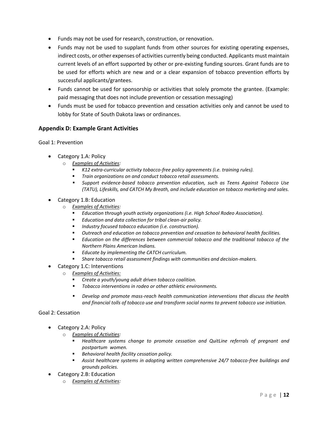- Funds may not be used for research, construction, or renovation.
- Funds may not be used to supplant funds from other sources for existing operating expenses, indirect costs, or other expenses of activities currently being conducted. Applicants must maintain current levels of an effort supported by other or pre-existing funding sources. Grant funds are to be used for efforts which are new and or a clear expansion of tobacco prevention efforts by successful applicants/grantees.
- Funds cannot be used for sponsorship or activities that solely promote the grantee. (Example: paid messaging that does not include prevention or cessation messaging)
- Funds must be used for tobacco prevention and cessation activities only and cannot be used to lobby for State of South Dakota laws or ordinances.

#### **Appendix D: Example Grant Activities**

Goal 1: Prevention

- Category 1.A: Policy
	- o *Examples of Activities:* 
		- *K12 extra-curricular activity tobacco-free policy agreements (i.e. training rules).*
		- *Train organizations on and conduct tobacco retail assessments.*
		- *Support evidence-based tobacco prevention education, such as Teens Against Tobacco Use (TATU), Lifeskills, and CATCH My Breath, and include education on tobacco marketing and sales.*
- Category 1.B: Education
	- o *Examples of Activities:* 
		- *Education through youth activity organizations (i.e. High School Rodeo Association).*
		- *Education and data collection for tribal clean-air policy.*
		- Industry focused tobacco education (i.e. construction).
		- *Outreach and education on tobacco prevention and cessation to behavioral health facilities.*
		- *Education on the differences between commercial tobacco and the traditional tobacco of the Northern Plains American Indians.*
		- *Educate by implementing the CATCH curriculum.*
		- *Share tobacco retail assessment findings with communities and decision-makers.*
- Category 1.C: Interventions
	- o *Examples of Activities:*
		- *Create a youth/young adult driven tobacco coalition.*
		- *Tobacco interventions in rodeo or other athletic environments.*
		- *Develop and promote mass-reach health communication interventions that discuss the health and financial tolls of tobacco use and transform social norms to prevent tobacco use initiation.*

Goal 2: Cessation

- Category 2.A: Policy
	- o *Examples of Activities:* 
		- *Healthcare systems change to promote cessation and QuitLine referrals of pregnant and postpartum women.*
		- *Behavioral health facility cessation policy.*
		- *Assist healthcare systems in adopting written comprehensive 24/7 tobacco-free buildings and grounds policies.*
- Category 2.B: Education
	- o *Examples of Activities:*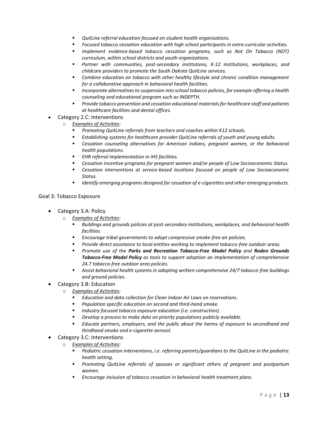- *QuitLine referral education focused on student health organizations.*
- *Focused tobacco cessation education with high school participants in extra-curricular activities.*
- *Implement evidence-based tobacco cessation programs, such as Not On Tobacco (NOT) curriculum, within school districts and youth organizations.*
- *Partner with communities, post-secondary institutions, K-12 institutions, workplaces, and childcare providers to promote the South Dakota QuitLine services.*
- *Combine education on tobacco with other healthy lifestyle and chronic condition management for a collaborative approach in behavioral health facilities.*
- *Incorporate alternatives to suspension into school tobacco policies, for example offering a health counseling and educational program such as INDEPTH.*
- *Provide tobacco prevention and cessation educational materialsfor healthcare staff and patients at healthcare facilities and dental offices.*
- Category 2.C: Interventions
	- o *Examples of Activities:* 
		- *Promoting QuitLine referrals from teachers and coaches within K12 schools.*
		- *Establishing systems for healthcare provider QuitLine referrals of youth and young adults.*
		- Cessation counseling alternatives for American Indians, pregnant women, or the behavioral *health populations.*
		- *EHR referral implementation in IHS facilities.*
		- *Cessation incentive programs for pregnant women and/or people of Low Socioeconomic Status.*
		- *Cessation interventions at service-based locations focused on people of Low Socioeconomic Status.*
		- Identify emerging programs designed for cessation of e-cigarettes and other emerging products.

## Goal 3: Tobacco Exposure

- Category 3.A: Policy
	- o *Examples of Activities:* 
		- *Buildings and grounds policies at post-secondary institutions, workplaces, and behavioral health facilities.*
		- *Encourage tribal governments to adopt compressive smoke-free air policies.*
		- *Provide direct assistance to local entities working to implement tobacco-free outdoor areas.*
		- *Promote use of the Parks and Recreation Tobacco-Free Model Policy and Rodeo Grounds Tobacco-Free Model Policy as tools to support adoption an implementation of comprehensive 24.7 tobacco-free outdoor area policies.*
		- Assist behavioral health systems in adopting written comprehensive 24/7 tobacco-free buildings *and ground policies.*
- Category 3.B: Education
	- o *Examples of Activities:* 
		- *Education and data collection for Clean Indoor Air Laws on reservations.*
		- *Population specific education on second and third-hand smoke.*
		- *Industry focused tobacco exposure education (i.e. construction).*
		- *Develop a process to make data on priority populations publicly available.*
		- *Educate partners, employers, and the public about the harms of exposure to secondhand and thirdhand smoke and e-cigarette aerosol.*
- Category 3.C: Interventions
	- o *Examples of Activities:* 
		- Pediatric cessation interventions, i.e. referring parents/guardians to the QuitLine in the pediatric *health setting.*
		- *Promoting QuitLine referrals of spouses or significant others of pregnant and postpartum women.*
		- *Encourage inclusion of tobacco cessation in behavioral health treatment plans.*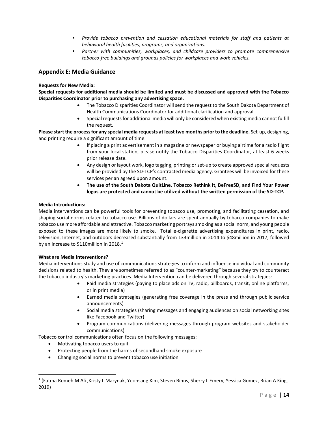- *Provide tobacco prevention and cessation educational materials for staff and patients at behavioral health facilities, programs, and organizations.*
- *Partner with communities, workplaces, and childcare providers to promote comprehensive tobacco-free buildings and grounds policies for workplaces and work vehicles.*

#### **Appendix E: Media Guidance**

#### **Requests for New Media:**

**Special requests for additional media should be limited and must be discussed and approved with the Tobacco Disparities Coordinator prior to purchasing any advertising space.** 

- The Tobacco Disparities Coordinator will send the request to the South Dakota Department of Health Communications Coordinator for additional clarification and approval.
- Special requests for additional media will only be considered when existing media cannot fulfill the request.

**Please start the process for any special media requests at least two months prior to the deadline.** Set-up, designing, and printing require a significant amount of time.

- If placing a print advertisement in a magazine or newspaper or buying airtime for a radio flight from your local station, please notify the Tobacco Disparities Coordinator, at least 6 weeks prior release date.
- Any design or layout work, logo tagging, printing or set-up to create approved special requests will be provided by the SD-TCP's contracted media agency. Grantees will be invoiced for these services per an agreed upon amount.
- **The use of the South Dakota QuitLine, Tobacco Rethink It, BeFreeSD, and Find Your Power logos are protected and cannot be utilized without the written permission of the SD-TCP.**

#### **Media Introductions:**

Media interventions can be powerful tools for preventing tobacco use, promoting, and facilitating cessation, and shaping social norms related to tobacco use. Billions of dollars are spent annually by tobacco companies to make tobacco use more affordable and attractive. Tobacco marketing portrays smoking as a social norm, and young people exposed to these images are more likely to smoke. Total e-cigarette advertising expenditures in print, radio, television, Internet, and outdoors decreased substantially from 133million in 2014 to \$48million in 2017, followed by an increase to \$110 million in 2018. $<sup>1</sup>$ </sup>

#### **What are Media Interventions?**

Media interventions study and use of communications strategies to inform and influence individual and community decisions related to health. They are sometimes referred to as "counter-marketing" because they try to counteract the tobacco industry's marketing practices. Media Intervention can be delivered through several strategies:

- Paid media strategies (paying to place ads on TV, radio, billboards, transit, online platforms, or in print media)
- Earned media strategies (generating free coverage in the press and through public service announcements)
- Social media strategies (sharing messages and engaging audiences on social networking sites like Facebook and Twitter)
- Program communications (delivering messages through program websites and stakeholder communications)

Tobacco control communications often focus on the following messages:

- Motivating tobacco users to quit
- Protecting people from the harms of secondhand smoke exposure
- Changing social norms to prevent tobacco use initiation

<sup>&</sup>lt;sup>1</sup> (Fatma Romeh M Ali ,Kristy L Marynak, Yoonsang Kim, Steven Binns, Sherry L Emery, Yessica Gomez, Brian A King, 2019)